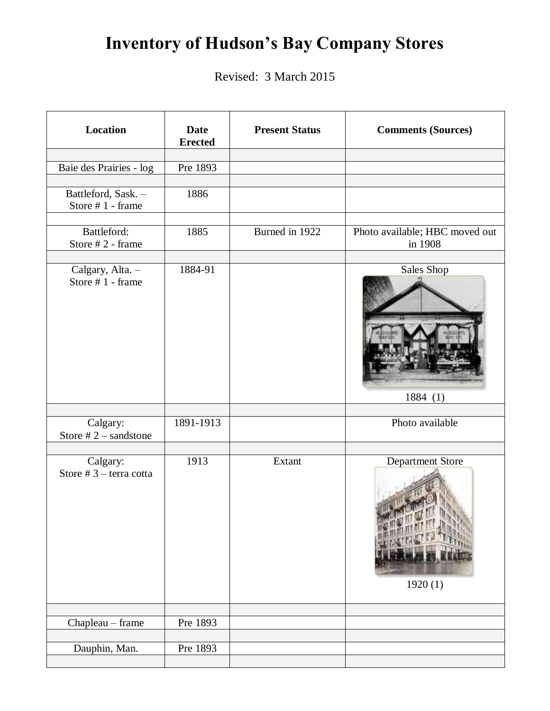## **Inventory of Hudson's Bay Company Stores**

Revised: 3 March 2015

| <b>Location</b>                         | <b>Date</b><br><b>Erected</b> | <b>Present Status</b> | <b>Comments (Sources)</b>                 |
|-----------------------------------------|-------------------------------|-----------------------|-------------------------------------------|
| Baie des Prairies - log                 | Pre 1893                      |                       |                                           |
|                                         |                               |                       |                                           |
| Battleford, Sask. -<br>Store #1 - frame | 1886                          |                       |                                           |
| Battleford:<br>Store #2 - frame         | 1885                          | Burned in 1922        | Photo available; HBC moved out<br>in 1908 |
| Calgary, Alta. -<br>Store #1 - frame    | 1884-91                       |                       | Sales Shop<br>1884(1)                     |
|                                         |                               |                       |                                           |
| Calgary:<br>Store $# 2$ – sandstone     | 1891-1913                     |                       | Photo available                           |
| Calgary:<br>Store $# 3$ – terra cotta   | 1913                          | Extant                | Department Store<br>1920(1)               |
| Chapleau - frame                        | Pre 1893                      |                       |                                           |
|                                         |                               |                       |                                           |
| Dauphin, Man.                           | Pre 1893                      |                       |                                           |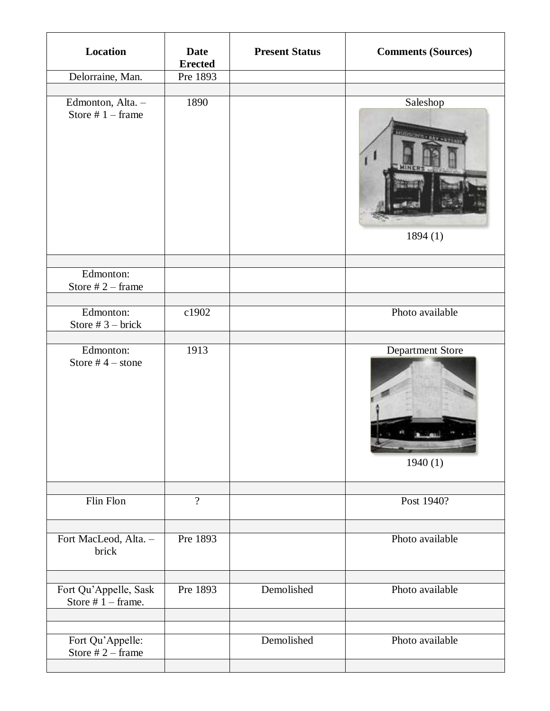| <b>Location</b>                               | <b>Date</b><br><b>Erected</b> | <b>Present Status</b> | <b>Comments (Sources)</b>                      |
|-----------------------------------------------|-------------------------------|-----------------------|------------------------------------------------|
| Delorraine, Man.                              | Pre 1893                      |                       |                                                |
| Edmonton, Alta. -<br>Store $# 1$ – frame      | 1890                          |                       | Saleshop<br><b>FUZINGNIER RAY -</b><br>1894(1) |
| Edmonton:<br>Store $# 2$ – frame              |                               |                       |                                                |
| Edmonton:<br>Store # $3$ – brick              | c1902                         |                       | Photo available                                |
| Edmonton:<br>Store # $4$ – stone              | 1913                          |                       | Department Store<br>1940(1)                    |
| Flin Flon                                     | $\overline{?}$                |                       | Post 1940?                                     |
| Fort MacLeod, Alta. -<br>brick                | Pre 1893                      |                       | Photo available                                |
| Fort Qu'Appelle, Sask<br>Store $# 1$ – frame. | Pre 1893                      | Demolished            | Photo available                                |
| Fort Qu'Appelle:<br>Store $# 2$ – frame       |                               | Demolished            | Photo available                                |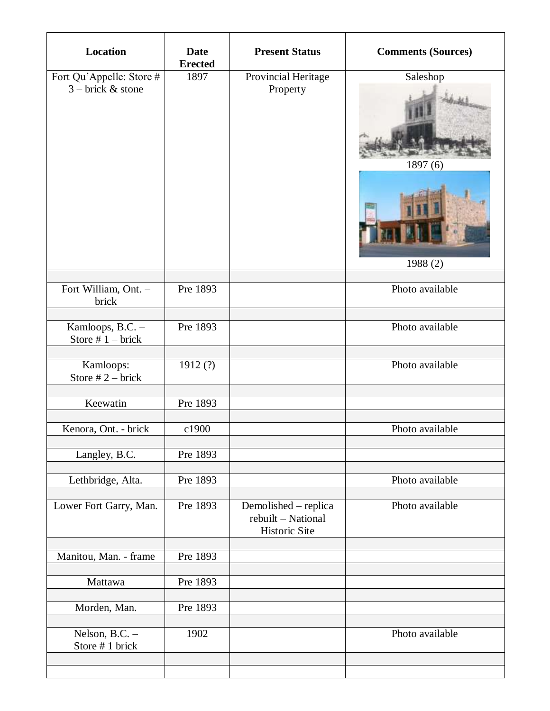| <b>Location</b>                                 | <b>Date</b><br><b>Erected</b> | <b>Present Status</b>                                       | <b>Comments (Sources)</b>       |
|-------------------------------------------------|-------------------------------|-------------------------------------------------------------|---------------------------------|
| Fort Qu'Appelle: Store #<br>$3 - brick &$ stone | 1897                          | Provincial Heritage<br>Property                             | Saleshop<br>1897(6)<br>1988 (2) |
| Fort William, Ont. -<br>brick                   | Pre 1893                      |                                                             | Photo available                 |
| Kamloops, B.C. -<br>Store $# 1 - brick$         | Pre 1893                      |                                                             | Photo available                 |
| Kamloops:<br>Store $# 2$ – brick                | 1912(?)                       |                                                             | Photo available                 |
| Keewatin                                        | Pre 1893                      |                                                             |                                 |
| Kenora, Ont. - brick                            | c1900                         |                                                             | Photo available                 |
| Langley, B.C.                                   | Pre 1893                      |                                                             |                                 |
| Lethbridge, Alta.                               | Pre 1893                      |                                                             | Photo available                 |
| Lower Fort Garry, Man.                          | Pre 1893                      | Demolished – replica<br>rebuilt - National<br>Historic Site | Photo available                 |
| Manitou, Man. - frame                           | Pre 1893                      |                                                             |                                 |
| Mattawa                                         | Pre 1893                      |                                                             |                                 |
| Morden, Man.                                    | Pre 1893                      |                                                             |                                 |
| Nelson, B.C. -<br>Store #1 brick                | 1902                          |                                                             | Photo available                 |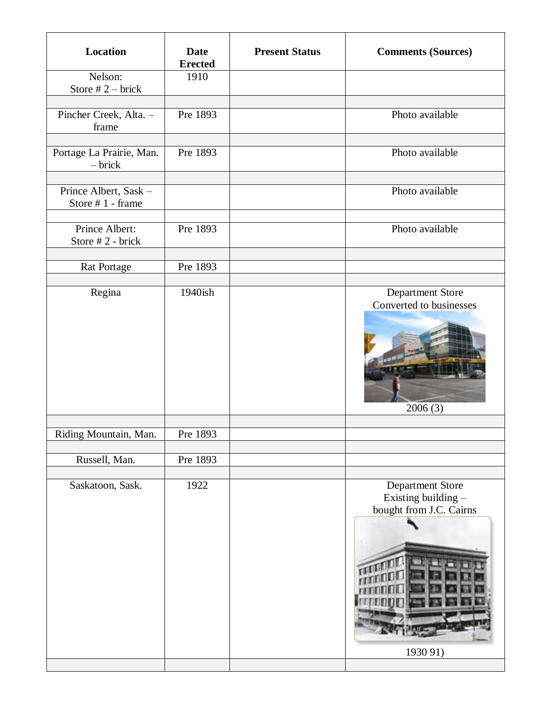| Location                                  | <b>Date</b><br><b>Erected</b> | <b>Present Status</b> | <b>Comments (Sources)</b>                                                      |
|-------------------------------------------|-------------------------------|-----------------------|--------------------------------------------------------------------------------|
| Nelson:<br>Store $# 2$ – brick            | 1910                          |                       |                                                                                |
| Pincher Creek, Alta. -<br>frame           | Pre 1893                      |                       | Photo available                                                                |
| Portage La Prairie, Man.<br>$-$ brick     | Pre 1893                      |                       | Photo available                                                                |
| Prince Albert, Sask -<br>Store #1 - frame |                               |                       | Photo available                                                                |
| Prince Albert:<br>Store #2 - brick        | Pre 1893                      |                       | Photo available                                                                |
| Rat Portage                               | Pre 1893                      |                       |                                                                                |
| Regina                                    | 1940ish                       |                       | Department Store<br>Converted to businesses<br>2006(3)                         |
| Riding Mountain, Man.                     | Pre 1893                      |                       |                                                                                |
| Russell, Man.                             | Pre 1893                      |                       |                                                                                |
| Saskatoon, Sask.                          | 1922                          |                       | Department Store<br>Existing building -<br>bought from J.C. Cairns<br>1930 91) |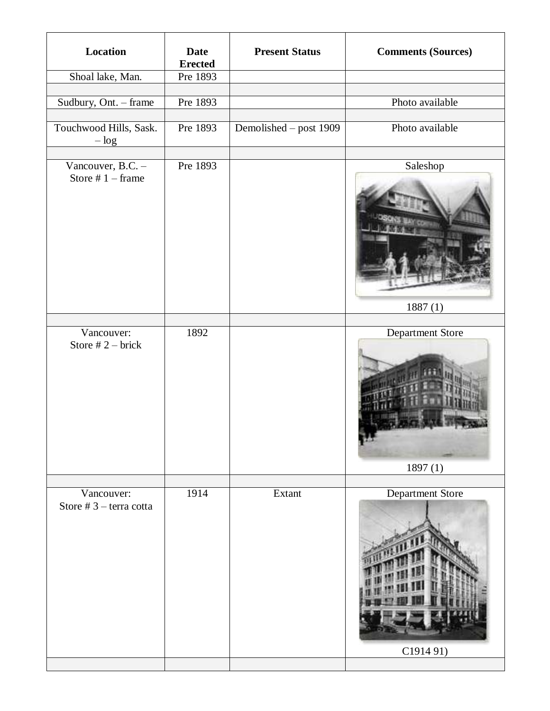| Location                                 | <b>Date</b><br><b>Erected</b> | <b>Present Status</b>  | <b>Comments (Sources)</b>    |
|------------------------------------------|-------------------------------|------------------------|------------------------------|
| Shoal lake, Man.                         | Pre 1893                      |                        |                              |
| Sudbury, Ont. - frame                    | Pre 1893                      |                        | Photo available              |
| Touchwood Hills, Sask.<br>$-\log$        | Pre 1893                      | Demolished - post 1909 | Photo available              |
| Vancouver, B.C. -<br>Store $# 1$ – frame | Pre 1893                      |                        | Saleshop<br>1887(1)          |
|                                          |                               |                        |                              |
| Vancouver:<br>Store $# 2$ – brick        | 1892                          |                        | Department Store<br>1897(1)  |
|                                          |                               |                        |                              |
| Vancouver:<br>Store $# 3$ – terra cotta  | 1914                          | Extant                 | Department Store<br>C191491) |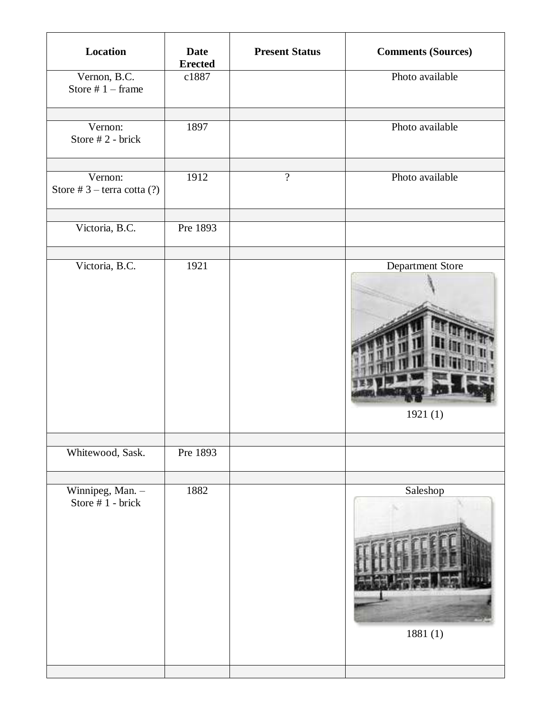| Location                                   | <b>Date</b><br><b>Erected</b> | <b>Present Status</b> | <b>Comments (Sources)</b>   |
|--------------------------------------------|-------------------------------|-----------------------|-----------------------------|
| Vernon, B.C.<br>Store $# 1$ – frame        | c1887                         |                       | Photo available             |
| Vernon:<br>Store #2 - brick                | 1897                          |                       | Photo available             |
| Vernon:<br>Store $# 3$ – terra cotta $(?)$ | 1912                          | $\overline{?}$        | Photo available             |
| Victoria, B.C.                             | Pre 1893                      |                       |                             |
| Victoria, B.C.                             | 1921                          |                       | Department Store<br>1921(1) |
| Whitewood, Sask.                           | Pre 1893                      |                       |                             |
| Winnipeg, Man. -<br>Store #1 - brick       | 1882                          |                       | Saleshop<br>1881(1)         |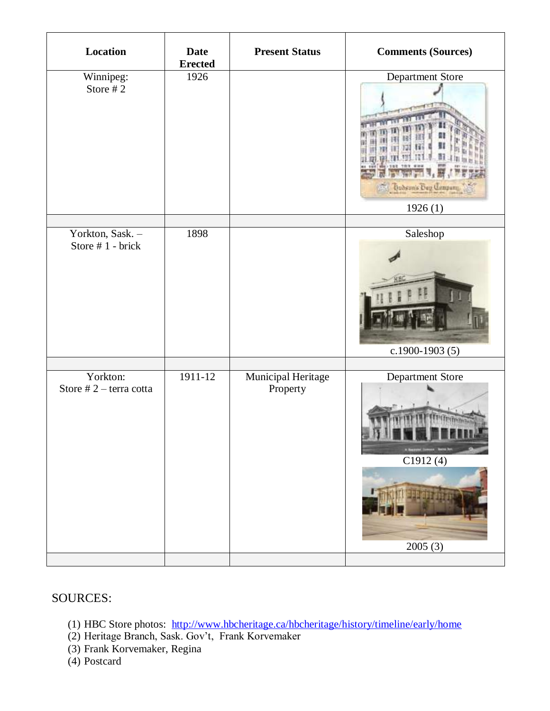| Location                              | <b>Date</b><br><b>Erected</b> | <b>Present Status</b>          | <b>Comments (Sources)</b>                                  |
|---------------------------------------|-------------------------------|--------------------------------|------------------------------------------------------------|
| Winnipeg:<br>Store #2                 | 1926                          |                                | Department Store<br><b>Dubson's Bug Company</b><br>1926(1) |
| Yorkton, Sask. -<br>Store #1 - brick  | 1898                          |                                | Saleshop<br>c.1900-1903 $(5)$                              |
| Yorkton:<br>Store $# 2$ – terra cotta | $1911-12$                     | Municipal Heritage<br>Property | Department Store<br>C1912(4)<br>2005(3)                    |

## SOURCES:

- (1) HBC Store photos: <http://www.hbcheritage.ca/hbcheritage/history/timeline/early/home>
- (2) Heritage Branch, Sask. Gov't, Frank Korvemaker
- (3) Frank Korvemaker, Regina
- (4) Postcard